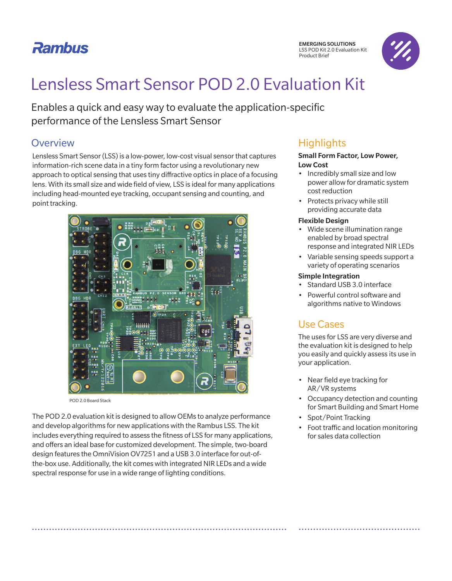## **Rambus**



# Lensless Smart Sensor POD 2.0 Evaluation Kit

Enables a quick and easy way to evaluate the application-specific performance of the Lensless Smart Sensor

### **Overview**

Lensless Smart Sensor (LSS) is a low-power, low-cost visual sensor that captures information-rich scene data in a tiny form factor using a revolutionary new approach to optical sensing that uses tiny diffractive optics in place of a focusing lens. With its small size and wide field of view, LSS is ideal for many applications including head-mounted eye tracking, occupant sensing and counting, and point tracking.



POD 2.0 Board Stack

The POD 2.0 evaluation kit is designed to allow OEMs to analyze performance and develop algorithms for new applications with the Rambus LSS. The kit includes everything required to assess the fitness of LSS for many applications, and offers an ideal base for customized development. The simple, two-board design features the OmniVision OV7251 and a USB 3.0 interface for out-ofthe-box use. Additionally, the kit comes with integrated NIR LEDs and a wide spectral response for use in a wide range of lighting conditions.

## **Highlights**

#### Small Form Factor, Low Power, Low Cost

- Incredibly small size and low power allow for dramatic system cost reduction
- Protects privacy while still providing accurate data

#### Flexible Design

- Wide scene illumination range enabled by broad spectral response and integrated NIR LEDs
- Variable sensing speeds support a variety of operating scenarios

#### Simple Integration

- Standard USB 3.0 interface
- Powerful control software and algorithms native to Windows

## Use Cases

The uses for LSS are very diverse and the evaluation kit is designed to help you easily and quickly assess its use in your application.

- Near field eye tracking for AR/VR systems
- Occupancy detection and counting for Smart Building and Smart Home
- Spot/Point Tracking
- Foot traffic and location monitoring for sales data collection